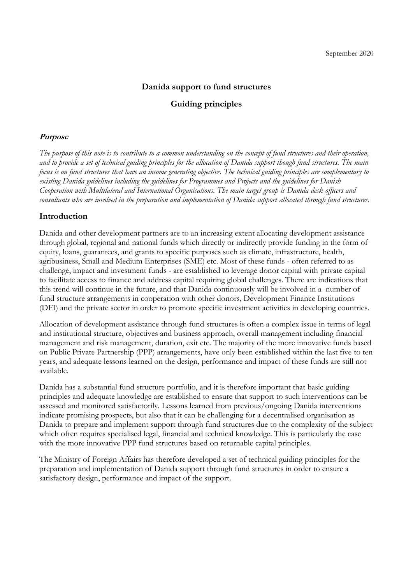# **Danida support to fund structures**

# **Guiding principles**

## **Purpose**

*The purpose of this note is to contribute to a common understanding on the concept of fund structures and their operation, and to provide a set of technical guiding principles for the allocation of Danida support though fund structures. The main focus is on fund structures that have an income generating objective. The technical guiding principles are complementary to existing Danida guidelines including the guidelines for Programmes and Projects and the guidelines for Danish Cooperation with Multilateral and International Organisations. The main target group is Danida desk officers and consultants who are involved in the preparation and implementation of Danida support allocated through fund structures.*

# **Introduction**

Danida and other development partners are to an increasing extent allocating development assistance through global, regional and national funds which directly or indirectly provide funding in the form of equity, loans, guarantees, and grants to specific purposes such as climate, infrastructure, health, agribusiness, Small and Medium Enterprises (SME) etc. Most of these funds - often referred to as challenge, impact and investment funds - are established to leverage donor capital with private capital to facilitate access to finance and address capital requiring global challenges. There are indications that this trend will continue in the future, and that Danida continuously will be involved in a number of fund structure arrangements in cooperation with other donors, Development Finance Institutions (DFI) and the private sector in order to promote specific investment activities in developing countries.

Allocation of development assistance through fund structures is often a complex issue in terms of legal and institutional structure, objectives and business approach, overall management including financial management and risk management, duration, exit etc. The majority of the more innovative funds based on Public Private Partnership (PPP) arrangements, have only been established within the last five to ten years, and adequate lessons learned on the design, performance and impact of these funds are still not available.

Danida has a substantial fund structure portfolio, and it is therefore important that basic guiding principles and adequate knowledge are established to ensure that support to such interventions can be assessed and monitored satisfactorily. Lessons learned from previous/ongoing Danida interventions indicate promising prospects, but also that it can be challenging for a decentralised organisation as Danida to prepare and implement support through fund structures due to the complexity of the subject which often requires specialised legal, financial and technical knowledge. This is particularly the case with the more innovative PPP fund structures based on returnable capital principles.

The Ministry of Foreign Affairs has therefore developed a set of technical guiding principles for the preparation and implementation of Danida support through fund structures in order to ensure a satisfactory design, performance and impact of the support.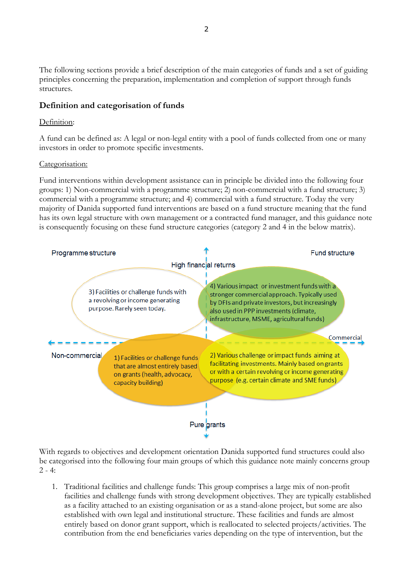The following sections provide a brief description of the main categories of funds and a set of guiding principles concerning the preparation, implementation and completion of support through funds structures.

# **Definition and categorisation of funds**

### Definition:

A fund can be defined as: A legal or non-legal entity with a pool of funds collected from one or many investors in order to promote specific investments.

#### Categorisation:

Fund interventions within development assistance can in principle be divided into the following four groups: 1) Non-commercial with a programme structure; 2) non-commercial with a fund structure; 3) commercial with a programme structure; and 4) commercial with a fund structure. Today the very majority of Danida supported fund interventions are based on a fund structure meaning that the fund has its own legal structure with own management or a contracted fund manager, and this guidance note is consequently focusing on these fund structure categories (category 2 and 4 in the below matrix).



With regards to objectives and development orientation Danida supported fund structures could also be categorised into the following four main groups of which this guidance note mainly concerns group  $2 - 4:$ 

1. Traditional facilities and challenge funds: This group comprises a large mix of non-profit facilities and challenge funds with strong development objectives. They are typically established as a facility attached to an existing organisation or as a stand-alone project, but some are also established with own legal and institutional structure. These facilities and funds are almost entirely based on donor grant support, which is reallocated to selected projects/activities. The contribution from the end beneficiaries varies depending on the type of intervention, but the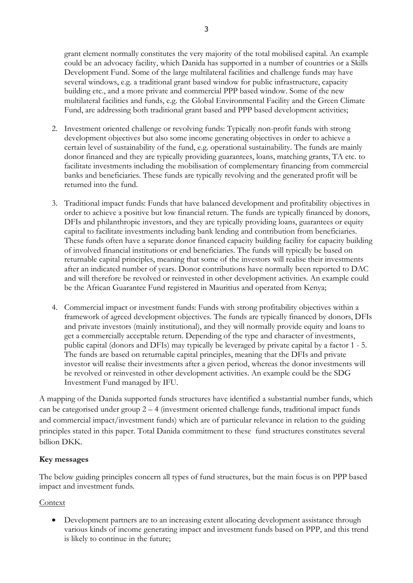grant element normally constitutes the very majority of the total mobilised capital. An example could be an advocacy facility, which Danida has supported in a number of countries or a Skills Development Fund. Some of the large multilateral facilities and challenge funds may have several windows, e.g. a traditional grant based window for public infrastructure, capacity building etc., and a more private and commercial PPP based window. Some of the new multilateral facilities and funds, e.g. the Global Environmental Facility and the Green Climate Fund, are addressing both traditional grant based and PPP based development activities;

- 2. Investment oriented challenge or revolving funds: Typically non-profit funds with strong development objectives but also some income generating objectives in order to achieve a certain level of sustainability of the fund, e.g. operational sustainability. The funds are mainly donor financed and they are typically providing guarantees, loans, matching grants, TA etc. to facilitate investments including the mobilisation of complementary financing from commercial banks and beneficiaries. These funds are typically revolving and the generated profit will be returned into the fund.
- 3. Traditional impact funds: Funds that have balanced development and profitability objectives in order to achieve a positive but low financial return. The funds are typically financed by donors, DFIs and philanthropic investors, and they are typically providing loans, guarantees or equity capital to facilitate investments including bank lending and contribution from beneficiaries. These funds often have a separate donor financed capacity building facility for capacity building of involved financial institutions or end beneficiaries. The funds will typically be based on returnable capital principles, meaning that some of the investors will realise their investments after an indicated number of years. Donor contributions have normally been reported to DAC and will therefore be revolved or reinvested in other development activities. An example could be the African Guarantee Fund registered in Mauritius and operated from Kenya;
- 4. Commercial impact or investment funds: Funds with strong profitability objectives within a framework of agreed development objectives. The funds are typically financed by donors, DFIs and private investors (mainly institutional), and they will normally provide equity and loans to get a commercially acceptable return. Depending of the type and character of investments, public capital (donors and DFIs) may typically be leveraged by private capital by a factor 1 - 5. The funds are based on returnable capital principles, meaning that the DFIs and private investor will realise their investments after a given period, whereas the donor investments will be revolved or reinvested in other development activities. An example could be the SDG Investment Fund managed by IFU.

A mapping of the Danida supported funds structures have identified a substantial number funds, which can be categorised under group  $2 - 4$  (investment oriented challenge funds, traditional impact funds and commercial impact/investment funds) which are of particular relevance in relation to the guiding principles stated in this paper. Total Danida commitment to these fund structures constitutes several billion DKK.

# **Key messages**

The below guiding principles concern all types of fund structures, but the main focus is on PPP based impact and investment funds.

# Context

 Development partners are to an increasing extent allocating development assistance through various kinds of income generating impact and investment funds based on PPP, and this trend is likely to continue in the future;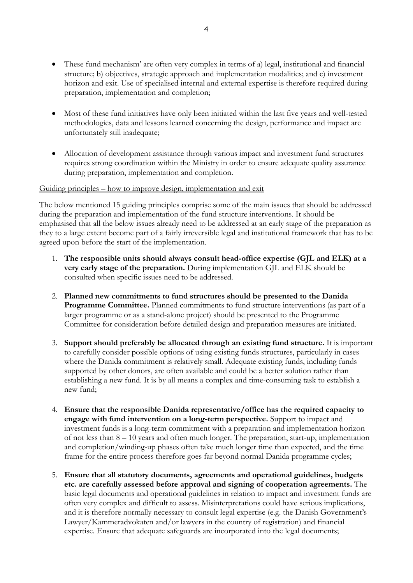- These fund mechanism' are often very complex in terms of a) legal, institutional and financial structure; b) objectives, strategic approach and implementation modalities; and c) investment horizon and exit. Use of specialised internal and external expertise is therefore required during preparation, implementation and completion;
- Most of these fund initiatives have only been initiated within the last five years and well-tested methodologies, data and lessons learned concerning the design, performance and impact are unfortunately still inadequate;
- Allocation of development assistance through various impact and investment fund structures requires strong coordination within the Ministry in order to ensure adequate quality assurance during preparation, implementation and completion.

## Guiding principles – how to improve design, implementation and exit

The below mentioned 15 guiding principles comprise some of the main issues that should be addressed during the preparation and implementation of the fund structure interventions. It should be emphasised that all the below issues already need to be addressed at an early stage of the preparation as they to a large extent become part of a fairly irreversible legal and institutional framework that has to be agreed upon before the start of the implementation.

- 1. **The responsible units should always consult head-office expertise (GJL and ELK) at a very early stage of the preparation.** During implementation GJL and ELK should be consulted when specific issues need to be addressed.
- 2. **Planned new commitments to fund structures should be presented to the Danida Programme Committee.** Planned commitments to fund structure interventions (as part of a larger programme or as a stand-alone project) should be presented to the Programme Committee for consideration before detailed design and preparation measures are initiated.
- 3. **Support should preferably be allocated through an existing fund structure.** It is important to carefully consider possible options of using existing funds structures, particularly in cases where the Danida commitment is relatively small. Adequate existing funds, including funds supported by other donors, are often available and could be a better solution rather than establishing a new fund. It is by all means a complex and time-consuming task to establish a new fund;
- 4. **Ensure that the responsible Danida representative/office has the required capacity to engage with fund intervention on a long-term perspective.** Support to impact and investment funds is a long-term commitment with a preparation and implementation horizon of not less than 8 – 10 years and often much longer. The preparation, start-up, implementation and completion/winding-up phases often take much longer time than expected, and the time frame for the entire process therefore goes far beyond normal Danida programme cycles;
- 5. **Ensure that all statutory documents, agreements and operational guidelines, budgets etc. are carefully assessed before approval and signing of cooperation agreements.** The basic legal documents and operational guidelines in relation to impact and investment funds are often very complex and difficult to assess. Misinterpretations could have serious implications, and it is therefore normally necessary to consult legal expertise (e.g. the Danish Government's Lawyer/Kammeradvokaten and/or lawyers in the country of registration) and financial expertise. Ensure that adequate safeguards are incorporated into the legal documents;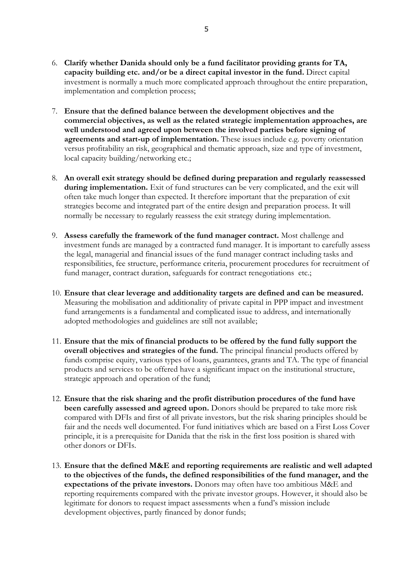- 6. **Clarify whether Danida should only be a fund facilitator providing grants for TA, capacity building etc. and/or be a direct capital investor in the fund.** Direct capital investment is normally a much more complicated approach throughout the entire preparation, implementation and completion process;
- 7. **Ensure that the defined balance between the development objectives and the commercial objectives, as well as the related strategic implementation approaches, are well understood and agreed upon between the involved parties before signing of agreements and start-up of implementation.** These issues include e.g. poverty orientation versus profitability an risk, geographical and thematic approach, size and type of investment, local capacity building/networking etc.;
- 8. **An overall exit strategy should be defined during preparation and regularly reassessed**  during implementation. Exit of fund structures can be very complicated, and the exit will often take much longer than expected. It therefore important that the preparation of exit strategies become and integrated part of the entire design and preparation process. It will normally be necessary to regularly reassess the exit strategy during implementation.
- 9. **Assess carefully the framework of the fund manager contract.** Most challenge and investment funds are managed by a contracted fund manager. It is important to carefully assess the legal, managerial and financial issues of the fund manager contract including tasks and responsibilities, fee structure, performance criteria, procurement procedures for recruitment of fund manager, contract duration, safeguards for contract renegotiations etc.;
- 10. **Ensure that clear leverage and additionality targets are defined and can be measured.**  Measuring the mobilisation and additionality of private capital in PPP impact and investment fund arrangements is a fundamental and complicated issue to address, and internationally adopted methodologies and guidelines are still not available;
- 11. **Ensure that the mix of financial products to be offered by the fund fully support the overall objectives and strategies of the fund.** The principal financial products offered by funds comprise equity, various types of loans, guarantees, grants and TA. The type of financial products and services to be offered have a significant impact on the institutional structure, strategic approach and operation of the fund;
- 12. **Ensure that the risk sharing and the profit distribution procedures of the fund have been carefully assessed and agreed upon.** Donors should be prepared to take more risk compared with DFIs and first of all private investors, but the risk sharing principles should be fair and the needs well documented. For fund initiatives which are based on a First Loss Cover principle, it is a prerequisite for Danida that the risk in the first loss position is shared with other donors or DFIs.
- 13. **Ensure that the defined M&E and reporting requirements are realistic and well adapted to the objectives of the funds, the defined responsibilities of the fund manager, and the expectations of the private investors.** Donors may often have too ambitious M&E and reporting requirements compared with the private investor groups. However, it should also be legitimate for donors to request impact assessments when a fund's mission include development objectives, partly financed by donor funds;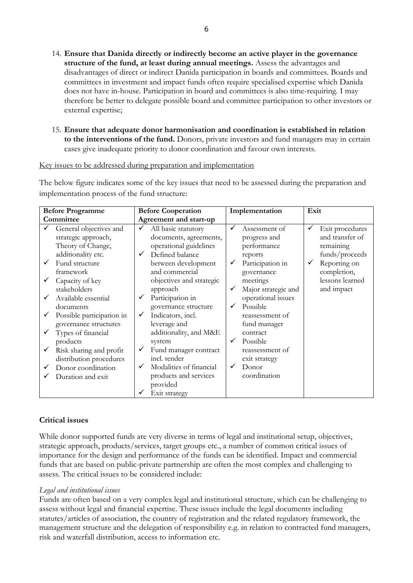- 14. **Ensure that Danida directly or indirectly become an active player in the governance structure of the fund, at least during annual meetings.** Assess the advantages and disadvantages of direct or indirect Danida participation in boards and committees. Boards and committees in investment and impact funds often require specialised expertise which Danida does not have in-house. Participation in board and committees is also time-requiring. I may therefore be better to delegate possible board and committee participation to other investors or external expertise;
- 15. **Ensure that adequate donor harmonisation and coordination is established in relation to the interventions of the fund.** Donors, private investors and fund managers may in certain cases give inadequate priority to donor coordination and favour own interests.

#### Key issues to be addressed during preparation and implementation

The below figure indicates some of the key issues that need to be assessed during the preparation and implementation process of the fund structure:

| <b>Before Programme</b>                                                                                                                                                                                                                   | <b>Before Cooperation</b>                                                                                                                                                                                                                                         | Implementation                                                                                                                                                                                          | Exit                                                                                                                          |
|-------------------------------------------------------------------------------------------------------------------------------------------------------------------------------------------------------------------------------------------|-------------------------------------------------------------------------------------------------------------------------------------------------------------------------------------------------------------------------------------------------------------------|---------------------------------------------------------------------------------------------------------------------------------------------------------------------------------------------------------|-------------------------------------------------------------------------------------------------------------------------------|
| Committee                                                                                                                                                                                                                                 | Agreement and start-up                                                                                                                                                                                                                                            |                                                                                                                                                                                                         |                                                                                                                               |
| General objectives and<br>strategic approach,<br>Theory of Change,<br>additionality etc.<br>Fund structure<br>✓<br>framework<br>Capacity of key                                                                                           | $\checkmark$<br>All basic statutory<br>documents, agreements,<br>operational guidelines<br>Defined balance<br>between development<br>and commercial<br>objectives and strategic                                                                                   | ✓<br>Assessment of<br>progress and<br>performance<br>reports<br>Participation in<br>governance<br>meetings                                                                                              | Exit procedures<br>✓<br>and transfer of<br>remaining<br>funds/proceeds<br>Reporting on<br>✓<br>completion,<br>lessons learned |
| stakeholders<br>Available essential<br>documents<br>Possible participation in<br>governance structures<br>Types of financial<br>products<br>Risk sharing and profit<br>distribution procedures<br>Donor coordination<br>Duration and exit | approach<br>Participation in<br>governance structure<br>Indicators, incl.<br>✓<br>leverage and<br>additionality, and M&E<br>system<br>Fund manager contract<br>incl. tender<br>Modalities of financial<br>✓<br>products and services<br>provided<br>Exit strategy | Major strategic and<br>operational issues<br>Possible<br>✓<br>reassessment of<br>fund manager<br>contract<br>Possible<br>$\checkmark$<br>reassessment of<br>exit strategy<br>Donor<br>✓<br>coordination | and impact                                                                                                                    |

## **Critical issues**

While donor supported funds are very diverse in terms of legal and institutional setup, objectives, strategic approach, products/services, target groups etc., a number of common critical issues of importance for the design and performance of the funds can be identified. Impact and commercial funds that are based on public-private partnership are often the most complex and challenging to assess. The critical issues to be considered include:

## *Legal and institutional issues*

Funds are often based on a very complex legal and institutional structure, which can be challenging to assess without legal and financial expertise. These issues include the legal documents including statutes/articles of association, the country of registration and the related regulatory framework, the management structure and the delegation of responsibility e.g. in relation to contracted fund managers, risk and waterfall distribution, access to information etc.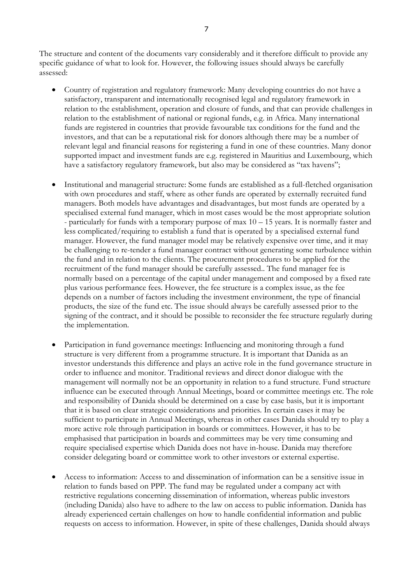The structure and content of the documents vary considerably and it therefore difficult to provide any specific guidance of what to look for. However, the following issues should always be carefully assessed:

- Country of registration and regulatory framework: Many developing countries do not have a satisfactory, transparent and internationally recognised legal and regulatory framework in relation to the establishment, operation and closure of funds, and that can provide challenges in relation to the establishment of national or regional funds, e.g. in Africa. Many international funds are registered in countries that provide favourable tax conditions for the fund and the investors, and that can be a reputational risk for donors although there may be a number of relevant legal and financial reasons for registering a fund in one of these countries. Many donor supported impact and investment funds are e.g. registered in Mauritius and Luxembourg, which have a satisfactory regulatory framework, but also may be considered as "tax havens";
- Institutional and managerial structure: Some funds are established as a full-fletched organisation with own procedures and staff, where as other funds are operated by externally recruited fund managers. Both models have advantages and disadvantages, but most funds are operated by a specialised external fund manager, which in most cases would be the most appropriate solution - particularly for funds with a temporary purpose of max 10 – 15 years. It is normally faster and less complicated/requiring to establish a fund that is operated by a specialised external fund manager. However, the fund manager model may be relatively expensive over time, and it may be challenging to re-tender a fund manager contract without generating some turbulence within the fund and in relation to the clients. The procurement procedures to be applied for the recruitment of the fund manager should be carefully assessed.. The fund manager fee is normally based on a percentage of the capital under management and composed by a fixed rate plus various performance fees. However, the fee structure is a complex issue, as the fee depends on a number of factors including the investment environment, the type of financial products, the size of the fund etc. The issue should always be carefully assessed prior to the signing of the contract, and it should be possible to reconsider the fee structure regularly during the implementation.
- Participation in fund governance meetings: Influencing and monitoring through a fund structure is very different from a programme structure. It is important that Danida as an investor understands this difference and plays an active role in the fund governance structure in order to influence and monitor. Traditional reviews and direct donor dialogue with the management will normally not be an opportunity in relation to a fund structure. Fund structure influence can be executed through Annual Meetings, board or committee meetings etc. The role and responsibility of Danida should be determined on a case by case basis, but it is important that it is based on clear strategic considerations and priorities. In certain cases it may be sufficient to participate in Annual Meetings, whereas in other cases Danida should try to play a more active role through participation in boards or committees. However, it has to be emphasised that participation in boards and committees may be very time consuming and require specialised expertise which Danida does not have in-house. Danida may therefore consider delegating board or committee work to other investors or external expertise.
- Access to information: Access to and dissemination of information can be a sensitive issue in relation to funds based on PPP. The fund may be regulated under a company act with restrictive regulations concerning dissemination of information, whereas public investors (including Danida) also have to adhere to the law on access to public information. Danida has already experienced certain challenges on how to handle confidential information and public requests on access to information. However, in spite of these challenges, Danida should always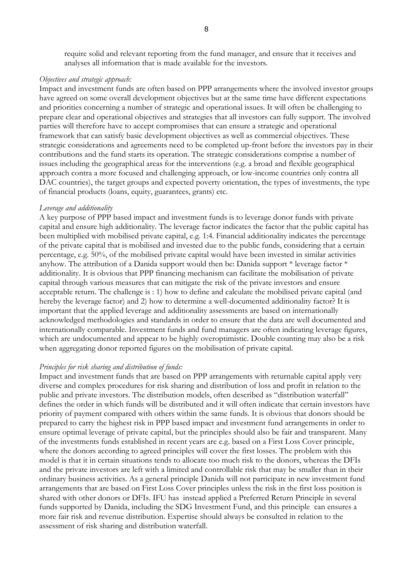require solid and relevant reporting from the fund manager, and ensure that it receives and analyses all information that is made available for the investors.

#### *Objectives and strategic approach:*

Impact and investment funds are often based on PPP arrangements where the involved investor groups have agreed on some overall development objectives but at the same time have different expectations and priorities concerning a number of strategic and operational issues. It will often be challenging to prepare clear and operational objectives and strategies that all investors can fully support. The involved parties will therefore have to accept compromises that can ensure a strategic and operational framework that can satisfy basic development objectives as well as commercial objectives. These strategic considerations and agreements need to be completed up-front before the investors pay in their contributions and the fund starts its operation. The strategic considerations comprise a number of issues including the geographical areas for the interventions (e.g. a broad and flexible geographical approach contra a more focused and challenging approach, or low-income countries only contra all DAC countries), the target groups and expected poverty orientation, the types of investments, the type of financial products (loans, equity, guarantees, grants) etc.

#### *Leverage and additionality*

A key purpose of PPP based impact and investment funds is to leverage donor funds with private capital and ensure high additionality. The leverage factor indicates the factor that the public capital has been multiplied with mobilised private capital, e.g. 1:4. Financial additionality indicates the percentage of the private capital that is mobilised and invested due to the public funds, considering that a certain percentage, e.g. 50%, of the mobilised private capital would have been invested in similar activities anyhow. The attribution of a Danida support would then be: Danida support \* leverage factor \* additionality. It is obvious that PPP financing mechanism can facilitate the mobilisation of private capital through various measures that can mitigate the risk of the private investors and ensure acceptable return. The challenge is : 1) how to define and calculate the mobilised private capital (and hereby the leverage factor) and 2) how to determine a well-documented additionality factor? It is important that the applied leverage and additionality assessments are based on internationally acknowledged methodologies and standards in order to ensure that the data are well documented and internationally comparable. Investment funds and fund managers are often indicating leverage figures, which are undocumented and appear to be highly overoptimistic. Double counting may also be a risk when aggregating donor reported figures on the mobilisation of private capital.

#### *Principles for risk sharing and distribution of funds:*

Impact and investment funds that are based on PPP arrangements with returnable capital apply very diverse and complex procedures for risk sharing and distribution of loss and profit in relation to the public and private investors. The distribution models, often described as "distribution waterfall" defines the order in which funds will be distributed and it will often indicate that certain investors have priority of payment compared with others within the same funds. It is obvious that donors should be prepared to carry the highest risk in PPP based impact and investment fund arrangements in order to ensure optimal leverage of private capital, but the principles should also be fair and transparent. Many of the investments funds established in recent years are e.g. based on a First Loss Cover principle, where the donors according to agreed principles will cover the first losses. The problem with this model is that it in certain situations tends to allocate too much risk to the donors, whereas the DFIs and the private investors are left with a limited and controllable risk that may be smaller than in their ordinary business activities. As a general principle Danida will not participate in new investment fund arrangements that are based on First Loss Cover principles unless the risk in the first loss position is shared with other donors or DFIs. IFU has instead applied a Preferred Return Principle in several funds supported by Danida, including the SDG Investment Fund, and this principle can ensures a more fair risk and revenue distribution. Expertise should always be consulted in relation to the assessment of risk sharing and distribution waterfall.